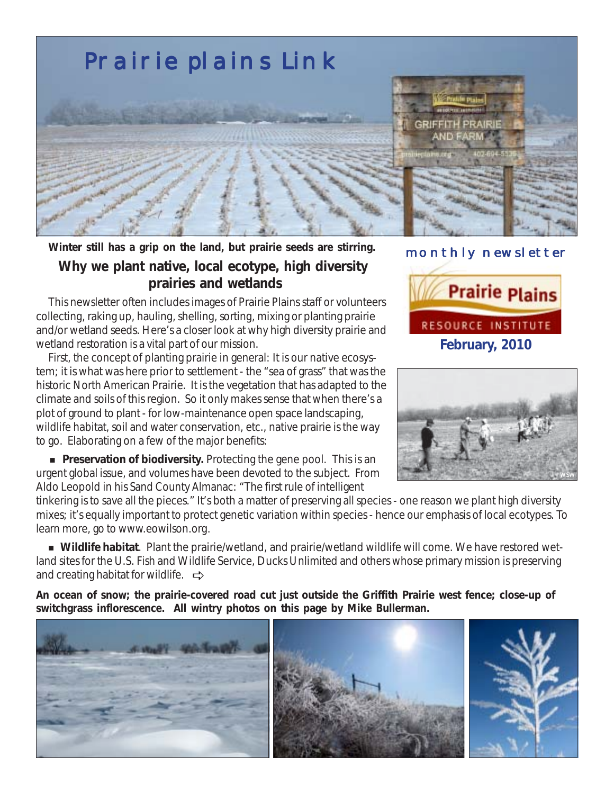

**Winter still has a grip on the land, but prairie seeds are stirring. Why we plant native, local ecotype, high diversity prairies and wetlands**

 This newsletter often includes images of Prairie Plains staff or volunteers collecting, raking up, hauling, shelling, sorting, mixing or planting prairie and/or wetland seeds. Here's a closer look at why high diversity prairie and wetland restoration is a vital part of our mission.

 First, the concept of planting prairie in general: It is our native ecosystem; it is what was here prior to settlement - the "sea of grass" that was the historic North American Prairie. It is the vegetation that has adapted to the climate and soils of this region. So it only makes sense that when there's a plot of ground to plant - for low-maintenance open space landscaping, wildlife habitat, soil and water conservation, etc., native prairie is the way to go. Elaborating on a few of the major benefits:

**Preservation of biodiversity.** Protecting the gene pool. This is an urgent global issue, and volumes have been devoted to the subject. From Aldo Leopold in his *Sand County Almanac*: "The first rule of intelligent

tinkering is to save all the pieces." It's both a matter of preserving all species - one reason we plant high diversity mixes; it's equally important to protect genetic variation within species - hence our emphasis of local ecotypes. To learn more, go to www.eowilson.org.

 ! **Wildlife habitat**. Plant the prairie/wetland, and prairie/wetland wildlife will come. We have restored wetland sites for the U.S. Fish and Wildlife Service, Ducks Unlimited and others whose primary mission is preserving and creating habitat for wildlife.  $\Rightarrow$ 

**An ocean of snow; the prairie-covered road cut just outside the Griffith Prairie west fence; close-up of switchgrass inflorescence. All wintry photos on this page by Mike Bullerman.**



## monthly newsletter